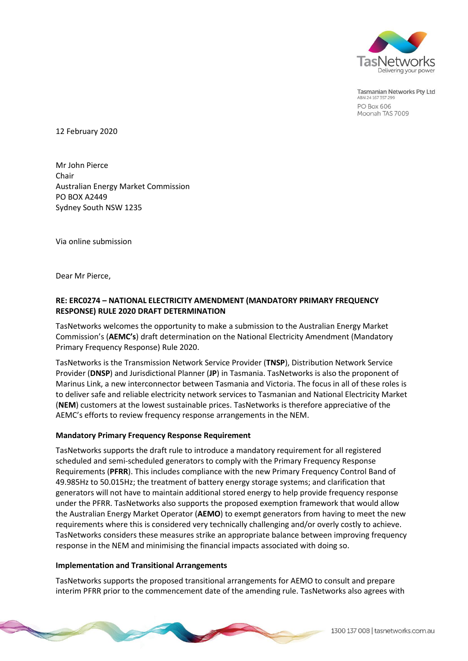

Tasmanian Networks Pty Ltd ABN 24 167 357 299 PO Box 606 Moonah TAS 7009

12 February 2020

Mr John Pierce Chair Australian Energy Market Commission PO BOX A2449 Sydney South NSW 1235

Via online submission

Dear Mr Pierce,

## **RE: ERC0274 – NATIONAL ELECTRICITY AMENDMENT (MANDATORY PRIMARY FREQUENCY RESPONSE) RULE 2020 DRAFT DETERMINATION**

TasNetworks welcomes the opportunity to make a submission to the Australian Energy Market Commission's (**AEMC's**) draft determination on the National Electricity Amendment (Mandatory Primary Frequency Response) Rule 2020.

TasNetworks is the Transmission Network Service Provider (**TNSP**), Distribution Network Service Provider (**DNSP**) and Jurisdictional Planner (**JP**) in Tasmania. TasNetworks is also the proponent of Marinus Link, a new interconnector between Tasmania and Victoria. The focus in all of these roles is to deliver safe and reliable electricity network services to Tasmanian and National Electricity Market (**NEM**) customers at the lowest sustainable prices. TasNetworks is therefore appreciative of the AEMC's efforts to review frequency response arrangements in the NEM.

## **Mandatory Primary Frequency Response Requirement**

TasNetworks supports the draft rule to introduce a mandatory requirement for all registered scheduled and semi-scheduled generators to comply with the Primary Frequency Response Requirements (**PFRR**). This includes compliance with the new Primary Frequency Control Band of 49.985Hz to 50.015Hz; the treatment of battery energy storage systems; and clarification that generators will not have to maintain additional stored energy to help provide frequency response under the PFRR. TasNetworks also supports the proposed exemption framework that would allow the Australian Energy Market Operator (**AEMO**) to exempt generators from having to meet the new requirements where this is considered very technically challenging and/or overly costly to achieve. TasNetworks considers these measures strike an appropriate balance between improving frequency response in the NEM and minimising the financial impacts associated with doing so.

## **Implementation and Transitional Arrangements**

TasNetworks supports the proposed transitional arrangements for AEMO to consult and prepare interim PFRR prior to the commencement date of the amending rule. TasNetworks also agrees with